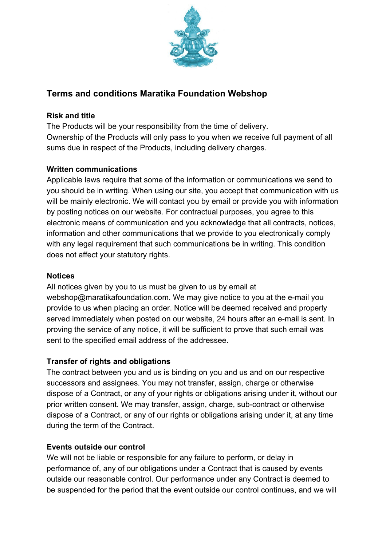

# **Terms and conditions Maratika Foundation Webshop**

#### **Risk and title**

The Products will be your responsibility from the time of delivery. Ownership of the Products will only pass to you when we receive full payment of all sums due in respect of the Products, including delivery charges.

### **Written communications**

Applicable laws require that some of the information or communications we send to you should be in writing. When using our site, you accept that communication with us will be mainly electronic. We will contact you by email or provide you with information by posting notices on our website. For contractual purposes, you agree to this electronic means of communication and you acknowledge that all contracts, notices, information and other communications that we provide to you electronically comply with any legal requirement that such communications be in writing. This condition does not affect your statutory rights.

#### **Notices**

All notices given by you to us must be given to us by email at webshop@maratikafoundation.com. We may give notice to you at the e-mail you provide to us when placing an order. Notice will be deemed received and properly served immediately when posted on our website, 24 hours after an e-mail is sent. In proving the service of any notice, it will be sufficient to prove that such email was sent to the specified email address of the addressee.

### **Transfer of rights and obligations**

The contract between you and us is binding on you and us and on our respective successors and assignees. You may not transfer, assign, charge or otherwise dispose of a Contract, or any of your rights or obligations arising under it, without our prior written consent. We may transfer, assign, charge, sub-contract or otherwise dispose of a Contract, or any of our rights or obligations arising under it, at any time during the term of the Contract.

#### **Events outside our control**

We will not be liable or responsible for any failure to perform, or delay in performance of, any of our obligations under a Contract that is caused by events outside our reasonable control. Our performance under any Contract is deemed to be suspended for the period that the event outside our control continues, and we will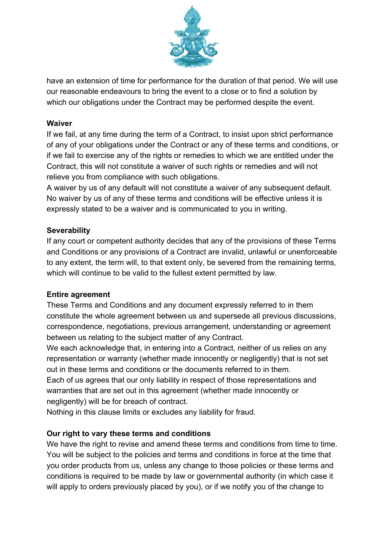

have an extension of time for performance for the duration of that period. We will use our reasonable endeavours to bring the event to a close or to find a solution by which our obligations under the Contract may be performed despite the event.

#### **Waiver**

If we fail, at any time during the term of a Contract, to insist upon strict performance of any of your obligations under the Contract or any of these terms and conditions, or if we fail to exercise any of the rights or remedies to which we are entitled under the Contract, this will not constitute a waiver of such rights or remedies and will not relieve you from compliance with such obligations.

A waiver by us of any default will not constitute a waiver of any subsequent default. No waiver by us of any of these terms and conditions will be effective unless it is expressly stated to be a waiver and is communicated to you in writing.

### **Severability**

If any court or competent authority decides that any of the provisions of these Terms and Conditions or any provisions of a Contract are invalid, unlawful or unenforceable to any extent, the term will, to that extent only, be severed from the remaining terms, which will continue to be valid to the fullest extent permitted by law.

#### **Entire agreement**

These Terms and Conditions and any document expressly referred to in them constitute the whole agreement between us and supersede all previous discussions, correspondence, negotiations, previous arrangement, understanding or agreement between us relating to the subject matter of any Contract.

We each acknowledge that, in entering into a Contract, neither of us relies on any representation or warranty (whether made innocently or negligently) that is not set out in these terms and conditions or the documents referred to in them. Each of us agrees that our only liability in respect of those representations and warranties that are set out in this agreement (whether made innocently or

negligently) will be for breach of contract.

Nothing in this clause limits or excludes any liability for fraud.

### **Our right to vary these terms and conditions**

We have the right to revise and amend these terms and conditions from time to time. You will be subject to the policies and terms and conditions in force at the time that you order products from us, unless any change to those policies or these terms and conditions is required to be made by law or governmental authority (in which case it will apply to orders previously placed by you), or if we notify you of the change to